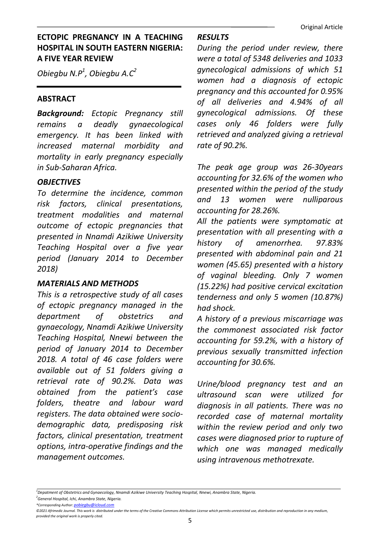# ECTOPIC PREGNANCY IN A TEACHING HOSPITAL IN SOUTH EASTERN NIGERIA: A FIVE YEAR REVIEW

Obiegbu N.P $^1$ , Obiegbu A. $C^2$ 

## ABSTRACT

Background: Ectopic Pregnancy still remains a deadly gynaecological emergency. It has been linked with increased maternal morbidity and mortality in early pregnancy especially in Sub-Saharan Africa.

## **OBJECTIVES**

To determine the incidence, common risk factors, clinical presentations, treatment modalities and maternal outcome of ectopic pregnancies that presented in Nnamdi Azikiwe University Teaching Hospital over a five year period (January 2014 to December 2018)

## MATERIALS AND METHODS

This is a retrospective study of all cases of ectopic pregnancy managed in the department of obstetrics and gynaecology, Nnamdi Azikiwe University Teaching Hospital, Nnewi between the period of January 2014 to December 2018. A total of 46 case folders were available out of 51 folders giving a retrieval rate of 90.2%. Data was obtained from the patient's case folders, theatre and labour ward registers. The data obtained were sociodemographic data, predisposing risk factors, clinical presentation, treatment options, intra-operative findings and the management outcomes.

## RESULTS

During the period under review, there were a total of 5348 deliveries and 1033 gynecological admissions of which 51 women had a diagnosis of ectopic pregnancy and this accounted for 0.95% of all deliveries and 4.94% of all gynecological admissions. Of these cases only 46 folders were fully retrieved and analyzed giving a retrieval rate of 90.2%.

The peak age group was 26-30years accounting for 32.6% of the women who presented within the period of the study and 13 women were nulliparous accounting for 28.26%.

All the patients were symptomatic at presentation with all presenting with a history of amenorrhea. 97.83% presented with abdominal pain and 21 women (45.65) presented with a history of vaginal bleeding. Only 7 women (15.22%) had positive cervical excitation tenderness and only 5 women (10.87%) had shock.

A history of a previous miscarriage was the commonest associated risk factor accounting for 59.2%, with a history of previous sexually transmitted infection accounting for 30.6%.

Urine/blood pregnancy test and an ultrasound scan were utilized for diagnosis in all patients. There was no recorded case of maternal mortality within the review period and only two cases were diagnosed prior to rupture of which one was managed medically using intravenous methotrexate.

\*Corresponding Author: pobiegbu@icloud.cor

<sup>1</sup>Depatment of Obstetrics and Gynaecology, Nnamdi Azikiwe University Teaching Hospital, Nnewi, Anambra State, Nigeria. <sup>2</sup>General Hospital, Ichi, Anambra State, Nigeria.

<sup>©2021</sup> Afrimedic Journal. This work is distributed under the terms of the Creative Commons Attribution License which permits unrestricted use, distribution and reproduction in any medium, provided the original work is properly cited.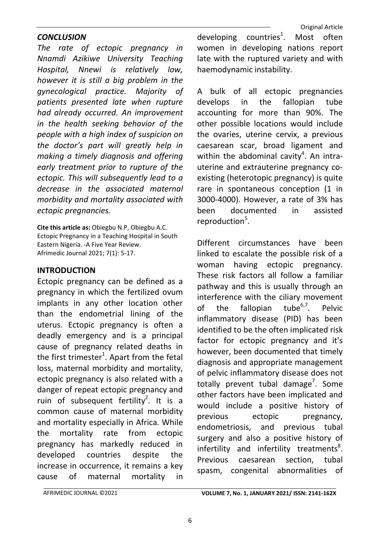## **CONCLUSION**

The rate of ectopic pregnancy in Nnamdi Azikiwe University Teaching Hospital, Nnewi is relatively low, however it is still a big problem in the gynecological practice. Majority of patients presented late when rupture had already occurred. An improvement in the health seeking behavior of the people with a high index of suspicion on the doctor's part will greatly help in making a timely diagnosis and offering early treatment prior to rupture of the ectopic. This will subsequently lead to a decrease in the associated maternal morbidity and mortality associated with ectopic pregnancies.

Cite this article as: Obiegbu N.P, Obiegbu A.C. Ectopic Pregnancy in a Teaching Hospital in South Eastern Nigeria. -A Five Year Review. Afrimedic Journal 2021; 7(1): 5-17.

## INTRODUCTION

Ectopic pregnancy can be defined as a pregnancy in which the fertilized ovum implants in any other location other than the endometrial lining of the uterus. Ectopic pregnancy is often a deadly emergency and is a principal cause of pregnancy related deaths in the first trimester<sup>1</sup>. Apart from the fetal loss, maternal morbidity and mortality, ectopic pregnancy is also related with a danger of repeat ectopic pregnancy and ruin of subsequent fertility<sup>2</sup>. It is a common cause of maternal morbidity and mortality especially in Africa. While the mortality rate from ectopic pregnancy has markedly reduced in developed countries despite the increase in occurrence, it remains a key cause of maternal mortality in

developing countries<sup>1</sup>. Most often women in developing nations report late with the ruptured variety and with haemodynamic instability.

A bulk of all ectopic pregnancies develops in the fallopian tube accounting for more than 90%. The other possible locations would include the ovaries, uterine cervix, a previous caesarean scar, broad ligament and within the abdominal cavity<sup>4</sup>. An intrauterine and extrauterine pregnancy coexisting (heterotopic pregnancy) is quite rare in spontaneous conception (1 in 3000-4000). However, a rate of 3% has been documented in assisted reproduction<sup>5</sup>.

Different circumstances have been linked to escalate the possible risk of a woman having ectopic pregnancy. These risk factors all follow a familiar pathway and this is usually through an interference with the ciliary movement of the fallopian tube $^{6,7}$ . Pelvic inflammatory disease (PID) has been identified to be the often implicated risk factor for ectopic pregnancy and it's however, been documented that timely diagnosis and appropriate management of pelvic inflammatory disease does not totally prevent tubal damage<sup>7</sup>. Some other factors have been implicated and would include a positive history of previous ectopic pregnancy, endometriosis, and previous tubal surgery and also a positive history of  $in$  fertility and infertility treatments<sup>8</sup>. Previous caesarean section, tubal spasm, congenital abnormalities of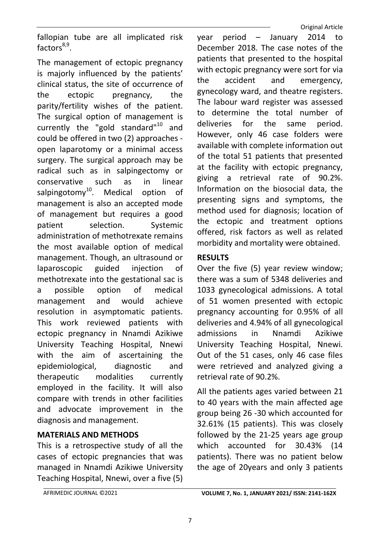fallopian tube are all implicated risk factors<sup>8,9</sup>.

The management of ectopic pregnancy is majorly influenced by the patients' clinical status, the site of occurrence of the ectopic pregnancy, the parity/fertility wishes of the patient. The surgical option of management is currently the "gold standard"<sup>10</sup> and could be offered in two (2) approaches open laparotomy or a minimal access surgery. The surgical approach may be radical such as in salpingectomy or conservative such as in linear salpingotomy<sup>10</sup>. Medical option of management is also an accepted mode of management but requires a good patient selection. Systemic administration of methotrexate remains the most available option of medical management. Though, an ultrasound or laparoscopic guided injection of methotrexate into the gestational sac is a possible option of medical management and would achieve resolution in asymptomatic patients. This work reviewed patients with ectopic pregnancy in Nnamdi Azikiwe University Teaching Hospital, Nnewi with the aim of ascertaining the epidemiological, diagnostic and therapeutic modalities currently employed in the facility. It will also compare with trends in other facilities and advocate improvement in the diagnosis and management.

## MATERIALS AND METHODS

This is a retrospective study of all the cases of ectopic pregnancies that was managed in Nnamdi Azikiwe University Teaching Hospital, Nnewi, over a five (5) year period – January 2014 to December 2018. The case notes of the patients that presented to the hospital with ectopic pregnancy were sort for via the accident and emergency, gynecology ward, and theatre registers. The labour ward register was assessed to determine the total number of deliveries for the same period. However, only 46 case folders were available with complete information out of the total 51 patients that presented at the facility with ectopic pregnancy, giving a retrieval rate of 90.2%. Information on the biosocial data, the presenting signs and symptoms, the method used for diagnosis; location of the ectopic and treatment options offered, risk factors as well as related morbidity and mortality were obtained.

# RESULTS

Over the five (5) year review window; there was a sum of 5348 deliveries and 1033 gynecological admissions. A total of 51 women presented with ectopic pregnancy accounting for 0.95% of all deliveries and 4.94% of all gynecological admissions in Nnamdi Azikiwe University Teaching Hospital, Nnewi. Out of the 51 cases, only 46 case files were retrieved and analyzed giving a retrieval rate of 90.2%.

All the patients ages varied between 21 to 40 years with the main affected age group being 26 -30 which accounted for 32.61% (15 patients). This was closely followed by the 21-25 years age group which accounted for 30.43% (14 patients). There was no patient below the age of 20years and only 3 patients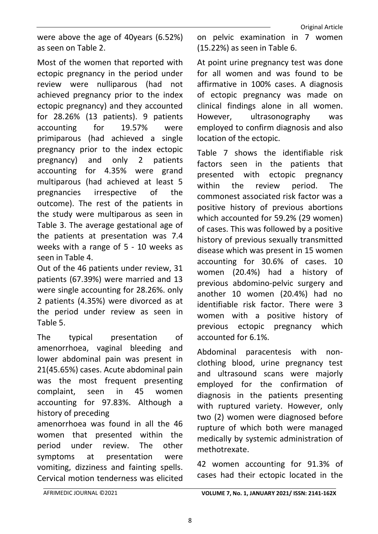were above the age of 40years (6.52%) as seen on Table 2.

Most of the women that reported with ectopic pregnancy in the period under review were nulliparous (had not achieved pregnancy prior to the index ectopic pregnancy) and they accounted for 28.26% (13 patients). 9 patients accounting for 19.57% were primiparous (had achieved a single pregnancy prior to the index ectopic pregnancy) and only 2 patients accounting for 4.35% were grand multiparous (had achieved at least 5 pregnancies irrespective of the outcome). The rest of the patients in the study were multiparous as seen in Table 3. The average gestational age of the patients at presentation was 7.4 weeks with a range of 5 - 10 weeks as seen in Table 4.

Out of the 46 patients under review, 31 patients (67.39%) were married and 13 were single accounting for 28.26%. only 2 patients (4.35%) were divorced as at the period under review as seen in Table 5.

The typical presentation of amenorrhoea, vaginal bleeding and lower abdominal pain was present in 21(45.65%) cases. Acute abdominal pain was the most frequent presenting complaint, seen in 45 women accounting for 97.83%. Although a history of preceding

amenorrhoea was found in all the 46 women that presented within the period under review. The other symptoms at presentation were vomiting, dizziness and fainting spells. Cervical motion tenderness was elicited

on pelvic examination in 7 women (15.22%) as seen in Table 6.

At point urine pregnancy test was done for all women and was found to be affirmative in 100% cases. A diagnosis of ectopic pregnancy was made on clinical findings alone in all women. However, ultrasonography was employed to confirm diagnosis and also location of the ectopic.

Table 7 shows the identifiable risk factors seen in the patients that presented with ectopic pregnancy within the review period. The commonest associated risk factor was a positive history of previous abortions which accounted for 59.2% (29 women) of cases. This was followed by a positive history of previous sexually transmitted disease which was present in 15 women accounting for 30.6% of cases. 10 women (20.4%) had a history of previous abdomino-pelvic surgery and another 10 women (20.4%) had no identifiable risk factor. There were 3 women with a positive history of previous ectopic pregnancy which accounted for 6.1%.

Abdominal paracentesis with nonclothing blood, urine pregnancy test and ultrasound scans were majorly employed for the confirmation of diagnosis in the patients presenting with ruptured variety. However, only two (2) women were diagnosed before rupture of which both were managed medically by systemic administration of methotrexate.

42 women accounting for 91.3% of cases had their ectopic located in the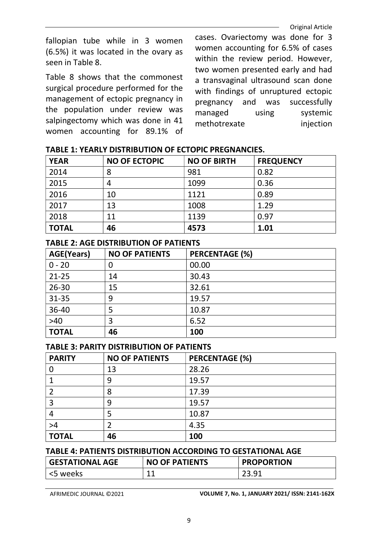fallopian tube while in 3 women (6.5%) it was located in the ovary as seen in Table 8.

Table 8 shows that the commonest surgical procedure performed for the management of ectopic pregnancy in the population under review was salpingectomy which was done in 41 women accounting for 89.1% of

cases. Ovariectomy was done for 3 women accounting for 6.5% of cases within the review period. However, two women presented early and had a transvaginal ultrasound scan done with findings of unruptured ectopic pregnancy and was successfully managed using systemic methotrexate injection

| <b>YEAR</b>  | <b>NO OF ECTOPIC</b> | <b>NO OF BIRTH</b> | <b>FREQUENCY</b> |
|--------------|----------------------|--------------------|------------------|
| 2014         | 8                    | 981                | 0.82             |
| 2015         | 4                    | 1099               | 0.36             |
| 2016         | 10                   | 1121               | 0.89             |
| 2017         | 13                   | 1008               | 1.29             |
| 2018         | 11                   | 1139               | 0.97             |
| <b>TOTAL</b> | 46                   | 4573               | 1.01             |

### TABLE 1: YEARLY DISTRIBUTION OF ECTOPIC PREGNANCIES.

### TABLE 2: AGE DISTRIBUTION OF PATIENTS

| <b>AGE(Years)</b> | <b>NO OF PATIENTS</b> | <b>PERCENTAGE (%)</b> |
|-------------------|-----------------------|-----------------------|
| $0 - 20$          | 0                     | 00.00                 |
| $21 - 25$         | 14                    | 30.43                 |
| $26 - 30$         | 15                    | 32.61                 |
| $31 - 35$         | 9                     | 19.57                 |
| 36-40             | 5                     | 10.87                 |
| $>40$             | 3                     | 6.52                  |
| <b>TOTAL</b>      | 46                    | 100                   |

#### TABLE 3: PARITY DISTRIBUTION OF PATIENTS

| <b>PARITY</b> | <b>NO OF PATIENTS</b> | <b>PERCENTAGE (%)</b> |
|---------------|-----------------------|-----------------------|
|               | 13                    | 28.26                 |
|               | 9                     | 19.57                 |
|               | 8                     | 17.39                 |
|               | 9                     | 19.57                 |
|               | 5                     | 10.87                 |
| >4            | 2                     | 4.35                  |
| <b>TOTAL</b>  | 46                    | 100                   |

#### TABLE 4: PATIENTS DISTRIBUTION ACCORDING TO GESTATIONAL AGE

| <b>GESTATIONAL AGE</b> | <b>NO OF PATIENTS</b> | <b>PROPORTION</b> |
|------------------------|-----------------------|-------------------|
| <5 weeks               | 44                    | 23 Q1             |

AFRIMEDIC JOURNAL ©2021 VOLUME 7, No. 1, JANUARY 2021/ ISSN: 2141-162X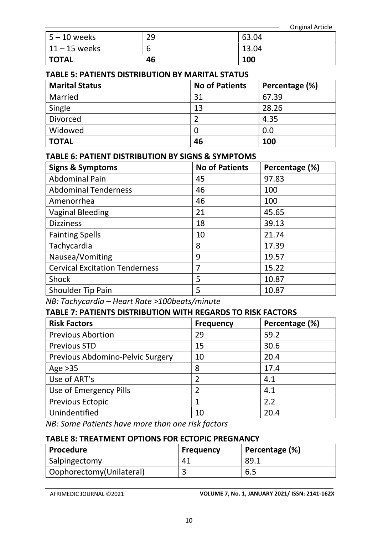| $ 5 - 10$ weeks  | 29 | 63.04 |
|------------------|----|-------|
| $ 11 - 15$ weeks | b  | 13.04 |
| ' TOTAL          | 46 | 100   |

### TABLE 5: PATIENTS DISTRIBUTION BY MARITAL STATUS

| <b>Marital Status</b> | <b>No of Patients</b> | Percentage (%) |
|-----------------------|-----------------------|----------------|
| Married               | 31                    | 67.39          |
| Single                | 13                    | 28.26          |
| <b>Divorced</b>       |                       | 4.35           |
| Widowed               | 0                     | 0.0            |
| <b>TOTAL</b>          | 46                    | <b>100</b>     |

### TABLE 6: PATIENT DISTRIBUTION BY SIGNS & SYMPTOMS

| <b>Signs &amp; Symptoms</b>           | <b>No of Patients</b> | Percentage (%) |
|---------------------------------------|-----------------------|----------------|
| <b>Abdominal Pain</b>                 | 45                    | 97.83          |
| <b>Abdominal Tenderness</b>           | 46                    | 100            |
| Amenorrhea                            | 46                    | 100            |
| <b>Vaginal Bleeding</b>               | 21                    | 45.65          |
| <b>Dizziness</b>                      | 18                    | 39.13          |
| <b>Fainting Spells</b>                | 10                    | 21.74          |
| Tachycardia                           | 8                     | 17.39          |
| Nausea/Vomiting                       | 9                     | 19.57          |
| <b>Cervical Excitation Tenderness</b> | 7                     | 15.22          |
| <b>Shock</b>                          | 5                     | 10.87          |
| Shoulder Tip Pain                     | 5                     | 10.87          |

NB: Tachycardia – Heart Rate >100beats/minute

### TABLE 7: PATIENTS DISTRIBUTION WITH REGARDS TO RISK FACTORS

| <b>Risk Factors</b>              | <b>Frequency</b> | Percentage (%) |
|----------------------------------|------------------|----------------|
| <b>Previous Abortion</b>         | 29               | 59.2           |
| <b>Previous STD</b>              | 15               | 30.6           |
| Previous Abdomino-Pelvic Surgery | 10               | 20.4           |
| Age $>35$                        | 8                | 17.4           |
| Use of ART's                     |                  | 4.1            |
| Use of Emergency Pills           |                  | 4.1            |
| <b>Previous Ectopic</b>          |                  | 2.2            |
| Unindentified                    | 10               | 20.4           |

NB: Some Patients have more than one risk factors

#### TABLE 8: TREATMENT OPTIONS FOR ECTOPIC PREGNANCY

| Procedure                 | <b>Frequency</b> | Percentage (%) |
|---------------------------|------------------|----------------|
| Salpingectomy             | -41              | 89.1           |
| Oophorectomy (Unilateral) |                  | 6.5            |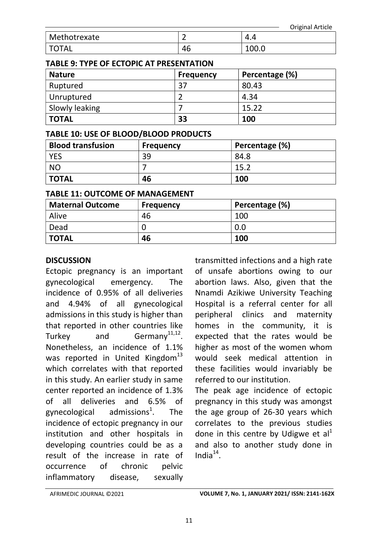|              |    |       | <b>Original Article</b> |
|--------------|----|-------|-------------------------|
| Methotrexate | -  | 4.4   |                         |
| <b>TOTAL</b> | 46 | 100.0 |                         |

### TABLE 9: TYPE OF ECTOPIC AT PRESENTATION

| <b>Nature</b>  | <b>Frequency</b> | Percentage (%) |
|----------------|------------------|----------------|
| Ruptured       | 37               | 80.43          |
| Unruptured     |                  | 4.34           |
| Slowly leaking |                  | 15.22          |
| <b>TOTAL</b>   | 33               | 100            |

### TABLE 10: USE OF BLOOD/BLOOD PRODUCTS

| <b>Blood transfusion</b> | <b>Frequency</b> | Percentage (%) |
|--------------------------|------------------|----------------|
| <b>YES</b>               | 39               | 84.8           |
| <b>NO</b>                |                  | 15.2           |
| <b>TOTAL</b>             | 46               | 100            |

### TABLE 11: OUTCOME OF MANAGEMENT

| <b>Maternal Outcome</b> | <b>Frequency</b> | Percentage (%) |
|-------------------------|------------------|----------------|
| Alive                   | 46               | 100            |
| Dead                    |                  | 0.0            |
| <b>TOTAL</b>            | 46               | 100            |

## **DISCUSSION**

Ectopic pregnancy is an important gynecological emergency. The incidence of 0.95% of all deliveries and 4.94% of all gynecological admissions in this study is higher than that reported in other countries like Turkey and Germany<sup>11,12</sup>. Nonetheless, an incidence of 1.1% was reported in United Kingdom $^{13}$ which correlates with that reported in this study. An earlier study in same center reported an incidence of 1.3% of all deliveries and 6.5% of gynecological admissions<sup>1</sup>. . The incidence of ectopic pregnancy in our institution and other hospitals in developing countries could be as a result of the increase in rate of occurrence of chronic pelvic inflammatory disease, sexually

transmitted infections and a high rate of unsafe abortions owing to our abortion laws. Also, given that the Nnamdi Azikiwe University Teaching Hospital is a referral center for all peripheral clinics and maternity homes in the community, it is expected that the rates would be higher as most of the women whom would seek medical attention in these facilities would invariably be referred to our institution.

The peak age incidence of ectopic pregnancy in this study was amongst the age group of 26-30 years which correlates to the previous studies done in this centre by Udigwe et  $al<sup>1</sup>$ and also to another study done in India $^{14}$ .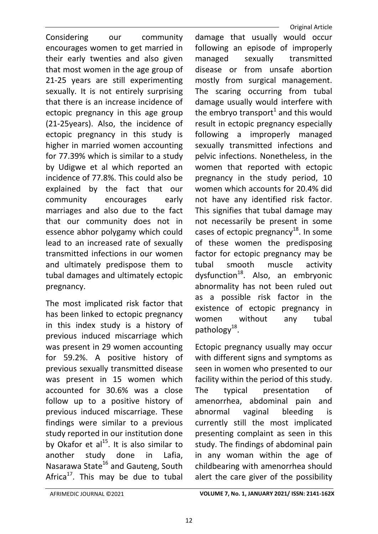Considering our community encourages women to get married in their early twenties and also given that most women in the age group of 21-25 years are still experimenting sexually. It is not entirely surprising that there is an increase incidence of ectopic pregnancy in this age group (21-25years). Also, the incidence of ectopic pregnancy in this study is higher in married women accounting for 77.39% which is similar to a study by Udigwe et al which reported an incidence of 77.8%. This could also be explained by the fact that our community encourages early marriages and also due to the fact that our community does not in essence abhor polygamy which could lead to an increased rate of sexually transmitted infections in our women and ultimately predispose them to tubal damages and ultimately ectopic pregnancy.

The most implicated risk factor that has been linked to ectopic pregnancy in this index study is a history of previous induced miscarriage which was present in 29 women accounting for 59.2%. A positive history of previous sexually transmitted disease was present in 15 women which accounted for 30.6% was a close follow up to a positive history of previous induced miscarriage. These findings were similar to a previous study reported in our institution done by Okafor et  $al<sup>15</sup>$ . It is also similar to another study done in Lafia, Nasarawa State<sup>16</sup> and Gauteng, South Africa $^{17}$ . This may be due to tubal

 Original Article damage that usually would occur following an episode of improperly managed sexually transmitted disease or from unsafe abortion mostly from surgical management. The scaring occurring from tubal damage usually would interfere with the embryo transport<sup>1</sup> and this would result in ectopic pregnancy especially following a improperly managed sexually transmitted infections and pelvic infections. Nonetheless, in the women that reported with ectopic pregnancy in the study period, 10 women which accounts for 20.4% did not have any identified risk factor. This signifies that tubal damage may not necessarily be present in some cases of ectopic pregnancy<sup>18</sup>. In some of these women the predisposing factor for ectopic pregnancy may be tubal smooth muscle activity dysfunction $^{18}$ . Also, an embryonic abnormality has not been ruled out as a possible risk factor in the existence of ectopic pregnancy in women without any tubal pathology<sup>18</sup>.

Ectopic pregnancy usually may occur with different signs and symptoms as seen in women who presented to our facility within the period of this study. The typical presentation of amenorrhea, abdominal pain and abnormal vaginal bleeding is currently still the most implicated presenting complaint as seen in this study. The findings of abdominal pain in any woman within the age of childbearing with amenorrhea should alert the care giver of the possibility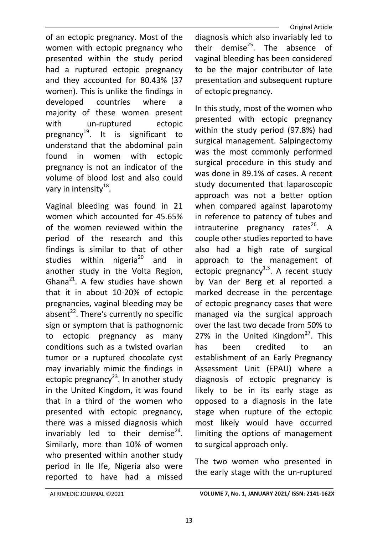of an ectopic pregnancy. Most of the women with ectopic pregnancy who presented within the study period had a ruptured ectopic pregnancy and they accounted for 80.43% (37 women). This is unlike the findings in developed countries where a majority of these women present with un-ruptured ectopic pregnancy<sup>19</sup>. It is significant to understand that the abdominal pain found in women with ectopic pregnancy is not an indicator of the volume of blood lost and also could vary in intensity<sup>18</sup>.

Vaginal bleeding was found in 21 women which accounted for 45.65% of the women reviewed within the period of the research and this findings is similar to that of other studies within nigeria<sup>20</sup> and in another study in the Volta Region, Ghana $^{21}$ . A few studies have shown that it in about 10-20% of ectopic pregnancies, vaginal bleeding may be absent $^{22}$ . There's currently no specific sign or symptom that is pathognomic to ectopic pregnancy as many conditions such as a twisted ovarian tumor or a ruptured chocolate cyst may invariably mimic the findings in ectopic pregnancy<sup>23</sup>. In another study in the United Kingdom, it was found that in a third of the women who presented with ectopic pregnancy, there was a missed diagnosis which invariably led to their demise $^{24}$ . Similarly, more than 10% of women who presented within another study period in Ile Ife, Nigeria also were reported to have had a missed

diagnosis which also invariably led to their demise $^{25}$ . The absence of vaginal bleeding has been considered to be the major contributor of late presentation and subsequent rupture of ectopic pregnancy.

In this study, most of the women who presented with ectopic pregnancy within the study period (97.8%) had surgical management. Salpingectomy was the most commonly performed surgical procedure in this study and was done in 89.1% of cases. A recent study documented that laparoscopic approach was not a better option when compared against laparotomy in reference to patency of tubes and intrauterine pregnancy rates<sup>26</sup>. A couple other studies reported to have also had a high rate of surgical approach to the management of ectopic pregnancy $1,3$ . A recent study by Van der Berg et al reported a marked decrease in the percentage of ectopic pregnancy cases that were managed via the surgical approach over the last two decade from 50% to 27% in the United Kingdom $27$ . This has been credited to an establishment of an Early Pregnancy Assessment Unit (EPAU) where a diagnosis of ectopic pregnancy is likely to be in its early stage as opposed to a diagnosis in the late stage when rupture of the ectopic most likely would have occurred limiting the options of management to surgical approach only.

The two women who presented in the early stage with the un-ruptured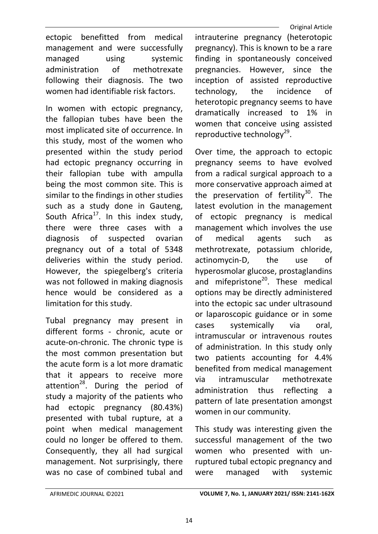ectopic benefitted from medical management and were successfully managed using systemic administration of methotrexate following their diagnosis. The two women had identifiable risk factors.

In women with ectopic pregnancy, the fallopian tubes have been the most implicated site of occurrence. In this study, most of the women who presented within the study period had ectopic pregnancy occurring in their fallopian tube with ampulla being the most common site. This is similar to the findings in other studies such as a study done in Gauteng, South Africa<sup>17</sup>. In this index study, there were three cases with a diagnosis of suspected ovarian pregnancy out of a total of 5348 deliveries within the study period. However, the spiegelberg's criteria was not followed in making diagnosis hence would be considered as a limitation for this study.

Tubal pregnancy may present in different forms - chronic, acute or acute-on-chronic. The chronic type is the most common presentation but the acute form is a lot more dramatic that it appears to receive more attention<sup>28</sup>. During the period of study a majority of the patients who had ectopic pregnancy (80.43%) presented with tubal rupture, at a point when medical management could no longer be offered to them. Consequently, they all had surgical management. Not surprisingly, there was no case of combined tubal and

intrauterine pregnancy (heterotopic pregnancy). This is known to be a rare finding in spontaneously conceived pregnancies. However, since the inception of assisted reproductive technology, the incidence of heterotopic pregnancy seems to have dramatically increased to 1% in women that conceive using assisted reproductive technology<sup>29</sup>.

Over time, the approach to ectopic pregnancy seems to have evolved from a radical surgical approach to a more conservative approach aimed at the preservation of fertility<sup>30</sup>. The latest evolution in the management of ectopic pregnancy is medical management which involves the use of medical agents such as methrotrexate, potassium chloride, actinomycin-D, the use of hyperosmolar glucose, prostaglandins and mifepristone $^{20}$ . These medical options may be directly administered into the ectopic sac under ultrasound or laparoscopic guidance or in some cases systemically via oral, intramuscular or intravenous routes of administration. In this study only two patients accounting for 4.4% benefited from medical management via intramuscular methotrexate administration thus reflecting a pattern of late presentation amongst women in our community.

This study was interesting given the successful management of the two women who presented with unruptured tubal ectopic pregnancy and were managed with systemic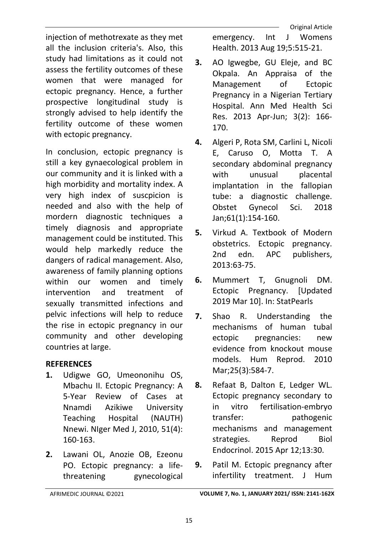injection of methotrexate as they met all the inclusion criteria's. Also, this study had limitations as it could not assess the fertility outcomes of these women that were managed for ectopic pregnancy. Hence, a further prospective longitudinal study is strongly advised to help identify the fertility outcome of these women with ectopic pregnancy.

In conclusion, ectopic pregnancy is still a key gynaecological problem in our community and it is linked with a high morbidity and mortality index. A very high index of suscpicion is needed and also with the help of mordern diagnostic techniques a timely diagnosis and appropriate management could be instituted. This would help markedly reduce the dangers of radical management. Also, awareness of family planning options within our women and timely intervention and treatment of sexually transmitted infections and pelvic infections will help to reduce the rise in ectopic pregnancy in our community and other developing countries at large.

## **REFERENCES**

- 1. Udigwe GO, Umeononihu OS, Mbachu II. Ectopic Pregnancy: A 5-Year Review of Cases at Nnamdi Azikiwe University Teaching Hospital (NAUTH) Nnewi. NIger Med J, 2010, 51(4): 160-163.
- 2. Lawani OL, Anozie OB, Ezeonu PO. Ectopic pregnancy: a lifethreatening gynecological

 Original Article emergency. Int J Womens Health. 2013 Aug 19;5:515-21.

- 3. AO Igwegbe, GU Eleje, and BC Okpala. An Appraisa of the Management of Ectopic Pregnancy in a Nigerian Tertiary Hospital. Ann Med Health Sci Res. 2013 Apr-Jun; 3(2): 166- 170.
- 4. Algeri P, Rota SM, Carlini L, Nicoli E, Caruso O, Motta T. A secondary abdominal pregnancy with unusual placental implantation in the fallopian tube: a diagnostic challenge. Obstet Gynecol Sci. 2018 Jan;61(1):154-160.
- 5. Virkud A. Textbook of Modern obstetrics. Ectopic pregnancy. 2nd edn. APC publishers, 2013:63-75.
- 6. Mummert T, Gnugnoli DM. Ectopic Pregnancy. [Updated 2019 Mar 10]. In: StatPearls
- 7. Shao R. Understanding the mechanisms of human tubal ectopic pregnancies: new evidence from knockout mouse models. Hum Reprod. 2010 Mar;25(3):584-7.
- 8. Refaat B, Dalton E, Ledger WL. Ectopic pregnancy secondary to in vitro fertilisation-embryo transfer: pathogenic mechanisms and management strategies. Reprod Biol Endocrinol. 2015 Apr 12;13:30.
- 9. Patil M. Ectopic pregnancy after infertility treatment. J Hum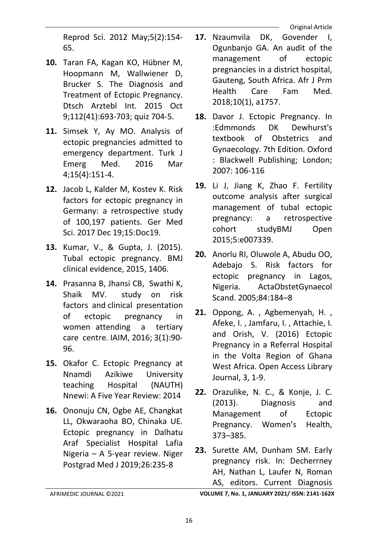Reprod Sci. 2012 May;5(2):154- 65.

- 10. Taran FA, Kagan KO, Hübner M, Hoopmann M, Wallwiener D, Brucker S. The Diagnosis and Treatment of Ectopic Pregnancy. Dtsch Arztebl Int. 2015 Oct 9;112(41):693-703; quiz 704-5.
- 11. Simsek Y, Ay MO. Analysis of ectopic pregnancies admitted to emergency department. Turk J Emerg Med. 2016 Mar 4;15(4):151-4.
- 12. Jacob L, Kalder M, Kostev K. Risk factors for ectopic pregnancy in Germany: a retrospective study of 100,197 patients. Ger Med Sci. 2017 Dec 19;15:Doc19.
- 13. Kumar, V., & Gupta, J. (2015). Tubal ectopic pregnancy. BMJ clinical evidence, 2015, 1406.
- 14. Prasanna B, Jhansi CB, Swathi K, Shaik MV. study on risk factors and clinical presentation of ectopic pregnancy in women attending a tertiary care centre. IAIM, 2016; 3(1):90- 96.
- 15. Okafor C. Ectopic Pregnancy at Nnamdi Azikiwe University teaching Hospital (NAUTH) Nnewi: A Five Year Review: 2014
- 16. Ononuju CN, Ogbe AE, Changkat LL, Okwaraoha BO, Chinaka UE. Ectopic pregnancy in Dalhatu Araf Specialist Hospital Lafia Nigeria – A 5-year review. Niger Postgrad Med J 2019;26:235-8
- 17. Nzaumvila DK, Govender I, Ogunbanjo GA. An audit of the management of ectopic pregnancies in a district hospital, Gauteng, South Africa. Afr J Prm Health Care Fam Med. 2018;10(1), a1757.
- 18. Davor J. Ectopic Pregnancy. In :Edmmonds DK Dewhurst's textbook of Obstetrics and Gynaecology. 7th Edition. Oxford : Blackwell Publishing; London; 2007: 106-116
- 19. Li J, Jiang K, Zhao F. Fertility outcome analysis after surgical management of tubal ectopic pregnancy: a retrospective cohort studyBMJ Open 2015;5:e007339.
- 20. Anorlu RI, Oluwole A, Abudu OO, Adebajo S. Risk factors for ectopic pregnancy in Lagos, Nigeria. ActaObstetGynaecol Scand. 2005;84:184–8
- 21. Oppong, A. , Agbemenyah, H. , Afeke, I. , Jamfaru, I. , Attachie, I. and Orish, V. (2016) Ectopic Pregnancy in a Referral Hospital in the Volta Region of Ghana West Africa. Open Access Library Journal, 3, 1-9.
- 22. Orazulike, N. C., & Konje, J. C. (2013). Diagnosis and Management of Ectopic Pregnancy. Women's Health, 373–385.
- 23. Surette AM, Dunham SM. Early pregnancy risk. In: Decherrney AH, Nathan L, Laufer N, Roman AS, editors. Current Diagnosis

AFRIMEDIC JOURNAL ©2021 VOLUME 7, No. 1, JANUARY 2021/ ISSN: 2141-162X